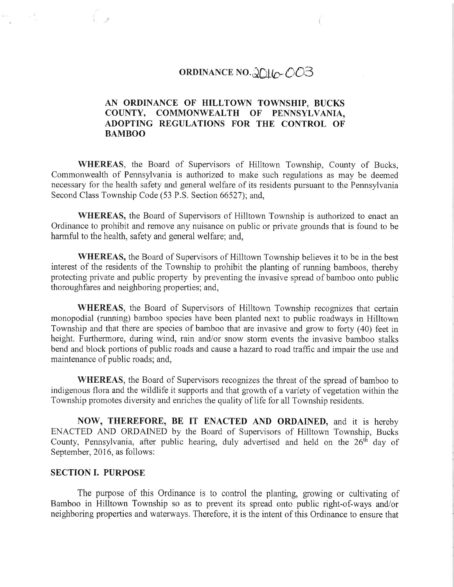# ORDINANCE NO. 2016-003

# AN ORDINANCE OF HILLTOWN TOWNSHIP, BUCKS COUNTY, COMMONWEALTH OF PENNSYLVANIA, ADOPTING REGULATIONS FOR THE CONTROL OF BAMBOO

WHEREAS, the Board of Supervisors of Hilltown Township, County of Bucks, Commonwealth of Pennsylvania is authorized to make such regulations as may be deemed necessary for the health safety and general welfare of its residents pursuant to the Pennsylvania Second Class Township Code (53 P.S. Section 66527); and,

WHEREAS, the Board of Supervisors of Hilltown Township is authorized to enact an Ordinance to prohibit and remove any nuisance on public or private grounds that is found to be harmful to the health, safety and general welfare; and,

WHEREAS, the Board of Supervisors of Hilltown Township believes it to be in the best interest of the residents of the Township to prohibit the planting of running bamboos, thereby protecting private and public property by preventing the invasive spread of bamboo onto public thoroughfares and neighboring properties; and,

WHEREAS, the Board of Supervisors of Hilltown Township recognizes that certain monopodial (mnning) bamboo species have been planted next to public roadways in Hilltown Township and that there are species of bamboo that are invasive and grow to forty (40) feet in height. Furtherrnore, during wind, rain and/or snow storm events the invasive bamboo stalks bend and block portions of public roads and cause a hazard to road traffic and impair the use and maintenance of public roads; and,

WHEREAS, the Board of Supervisors recognizes the threat of the spread of bamboo to indigenous flora and the wildlife it supports and that growth of a variety of vegetation within the Township promotes diversity and enriches the quality of life for all Township residents.

NOW, THEREFORE, BE IT ENACTED AND ORDAINED, and it is hereby ENACTED AND ORDAINED by the Board of Supervisors of Hilltown Township, Bucks County, Pennsylvania, after public hearing, duly advertised and held on the 26'h day of September, 2016, as follows:

### SECTION I. PURPOSE

The purpose of this Ordinance is to control the planting, growing or cultivating of Bamboo in Hilltown Township so as to prevent its spread onto public right-of-ways and/or neighboring properties and waterways. Therefore, it is the intent of this Ordinance to ensure that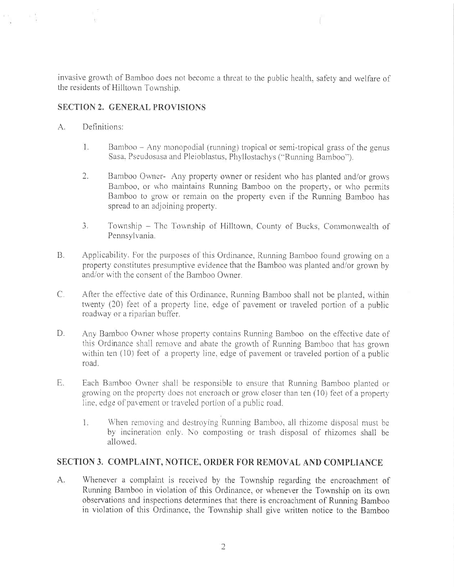invasive growth of Bamboo does not become a threat to the public health, safety and welfare of the residents of Hilltown Township.

# SECTION 2, GENERAL PROVISIONS

#### $A.$ Definitions:

 $\overline{C}$ 

- 1. Bamboo Any monopodial (running) tropical or semi-tropical grass of the genus Sasa, Pseudosasa and Pleioblastus, Phyllostachys ("Running Bamboo").
- 2. Bamboo Owner- Any property owner or resident who has planted and/or grows Bamboo, or who maintains Running Bamboo on the property, or who permits Bamboo to grow or remain on the property even if the Running Bamboo has spread to an adjoining property.
- $\mathbf{3}$ . Township - The Township of Hilltown, County of Bucks, Commonwealth of Pennsylvania.
- $B.$ Applicability. For the purposes of this Ordinance, Running Bamboo found growing on a property constitutes presumptive evidence that the Bamboo was planted and/or grown by and/or with the consent of the Bamboo Owner.
- After the effective date of this Ordinance, Running Bamboo shall not be planted, within  $C_{\cdot}$ twenty (20) feet of a property line, edge of pavement or traveled portion of a public roadway or a riparian buffer.
- D. Any Bamboo Owner whose property contains Running Bamboo on the effective date of this Ordinance shall remove and abate the growth of Running Bamboo that has grown within ten (10) feet of a property line, edge of pavement or traveled portion of a public road.
- E. Each Bamboo Owner shall be responsible to ensure that Running Bamboo planted or growing on the property does not encroach or grow closer than ten (10) feet of a property line, edge of pavement or traveled portion of a public road.
	- 1. When removing and destroying Running Bamboo, all rhizome disposal must be by incineration only. No composting or trash disposal of rhizomes shall be allowed.

# SECTION 3. COMPLAINT, NOTICE, ORDER FOR REMOVAL AND COMPLIANCE

А. Whenever a complaint is received by the Township regarding the encroachment of Running Bamboo in violation of this Ordinance, or whenever the Township on its own observations and inspections determines that there is encroachment of Running Bamboo in violation of this Ordinance, the Township shall give written notice to the Bamboo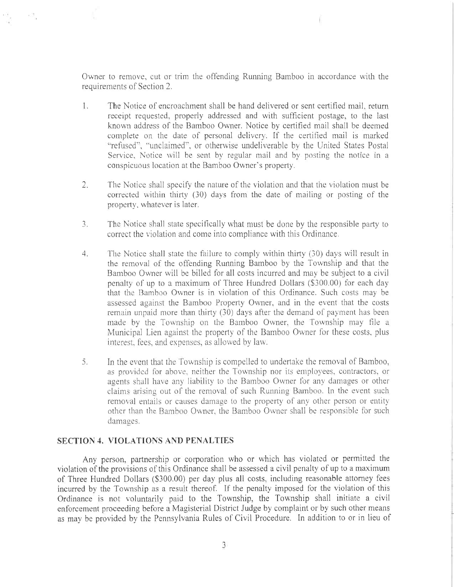Owner to removc, cut or trim the offending Running Bamboo in accordance with the requirements of Section 2.

- 1. The Notice of encroachinent shall be hand delivered or sent certified mail, return receipt requested, properly addrcssed and with sufficient postage, to the last known address of the Bamboo Owner. Notice by certified mail shall be deemed complete on the date of personal delivery. If the certified mail is marked "refused", "unclaimed", or otherwise undeliverable by the United States Postal Service, Notice will be sent by regular mail and by posting the notice in a conspicuous location at the Bamboo Owner's property.
- 2. The Notice shall specify the nature of the violation and that the violation must be corrected within thirty  $(30)$  days from the date of mailing or posting of the propcrty, whatever is later.
- $3.$ The Notice shall state specifically what must be done by the responsible party to correct the violation and come into compliance with this Ordinance.
- 4. The Notice shall state the failure to comply within thirty (30) days will result in the removal of the offending Running Bamboo by the Township and that the Bamboo Owner will be billed for all costs incurred and may be subject to a civil penalty of up to a maximum of Threc Hundred Dollars (\$300.00) for each day that the Bamboo Owner is in violation of this Ordinance. Such costs may be assessed against the Bamboo Property Owner, and in the event that the costs remain unpaid more than thirty (30) days after the demand of payment has been made by the Township on the Bamboo Owner, the Township may file a Municipal Lien against the property of the Bamboo Owner for these costs, plus interest, fees, and expenses, as allowed by law.
- 5. In the event that the Township is compelled to undertake the removal of Bamboo, as provided for above, neither the Township nor its employees, contractors, or agents shall have any liability to the Bamboo Owner for any damages or other claims arising out of the removal of such Running Bamboo. In the event such removal entails or causes damage to the property of any other person or entity other than the Bamboo Owner, the Bamboo Owner shall be responsible for such damagcs.

#### SECTION 4. VIOLATIONS AND PENALTIES

Any person, partnership or corporation who or which has violated or permitted the violation of the provisions of this Ordinance shall be assessed a civil penalty of up to a maximum of Three Hundred Dollars (\$300.00) per day plus all costs. including reasonable attorney fees incurred by the Township as a result thereof. If the penalty imposed for the violation of this Ordinance is not voluntarily paid to the Township, the Township shall mitiate a civil enforcement proceeding before a Magisterial District Judge by complaint or by such other means as may be provided by the Pennsylvania Rules of Civil Procedure. In addition to or in lieu of